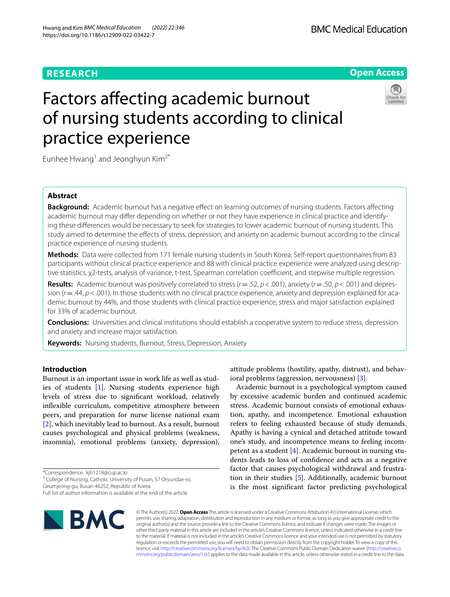# **RESEARCH**



# Factors affecting academic burnout of nursing students according to clinical practice experience



Eunhee Hwang<sup>1</sup> and Jeonghyun Kim<sup>2\*</sup>

# **Abstract**

**Background:** Academic burnout has a negative effect on learning outcomes of nursing students. Factors affecting academic burnout may difer depending on whether or not they have experience in clinical practice and identifying these diferences would be necessary to seek for strategies to lower academic burnout of nursing students. This study aimed to determine the efects of stress, depression, and anxiety on academic burnout according to the clinical practice experience of nursing students.

**Methods:** Data were collected from 171 female nursing students in South Korea. Self-report questionnaires from 83 participants without clinical practice experience and 88 with clinical practice experience were analyzed using descriptive statistics, χ2-tests, analysis of variance, t-test, Spearman correlation coefficient, and stepwise multiple regression.

**Results:** Academic burnout was positively correlated to stress (*r*=.52, *p*<.001), anxiety (*r*=.50, *p*<.001) and depression (*r*=.44, *p*<.001). In those students with no clinical practice experience, anxiety and depression explained for academic burnout by 44%, and those students with clinical practice experience, stress and major satisfaction explained for 33% of academic burnout.

**Conclusions:** Universities and clinical institutions should establish a cooperative system to reduce stress, depression and anxiety and increase major satisfaction.

**Keywords:** Nursing students, Burnout, Stress, Depression, Anxiety

# **Introduction**

Burnout is an important issue in work life as well as studies of students [\[1](#page-8-0)]. Nursing students experience high levels of stress due to signifcant workload, relatively infexible curriculum, competitive atmosphere between peers, and preparation for nurse license national exam [[2\]](#page-8-1), which inevitably lead to burnout. As a result, burnout causes psychological and physical problems (weakness, insomnia), emotional problems (anxiety, depression),

\*Correspondence: kjh1218@cup.ac.kr

<sup>2</sup> College of Nursing, Catholic University of Pusan, 57 Oryundae-ro, Geumjeong-gu, Busan 46252, Republic of Korea

Full list of author information is available at the end of the article

attitude problems (hostility, apathy, distrust), and behavioral problems (aggression, nervousness) [\[3\]](#page-8-2).

Academic burnout is a psychological symptom caused by excessive academic burden and continued academic stress. Academic burnout consists of emotional exhaustion, apathy, and incompetence. Emotional exhaustion refers to feeling exhausted because of study demands. Apathy is having a cynical and detached attitude toward one's study, and incompetence means to feeling incompetent as a student [\[4\]](#page-8-3). Academic burnout in nursing students leads to loss of confdence and acts as a negative factor that causes psychological withdrawal and frustration in their studies [[5\]](#page-8-4). Additionally, academic burnout is the most signifcant factor predicting psychological



© The Author(s) 2022. **Open Access** This article is licensed under a Creative Commons Attribution 4.0 International License, which permits use, sharing, adaptation, distribution and reproduction in any medium or format, as long as you give appropriate credit to the original author(s) and the source, provide a link to the Creative Commons licence, and indicate if changes were made. The images or other third party material in this article are included in the article's Creative Commons licence, unless indicated otherwise in a credit line to the material. If material is not included in the article's Creative Commons licence and your intended use is not permitted by statutory regulation or exceeds the permitted use, you will need to obtain permission directly from the copyright holder. To view a copy of this licence, visit [http://creativecommons.org/licenses/by/4.0/.](http://creativecommons.org/licenses/by/4.0/) The Creative Commons Public Domain Dedication waiver ([http://creativeco](http://creativecommons.org/publicdomain/zero/1.0/) [mmons.org/publicdomain/zero/1.0/](http://creativecommons.org/publicdomain/zero/1.0/)) applies to the data made available in this article, unless otherwise stated in a credit line to the data.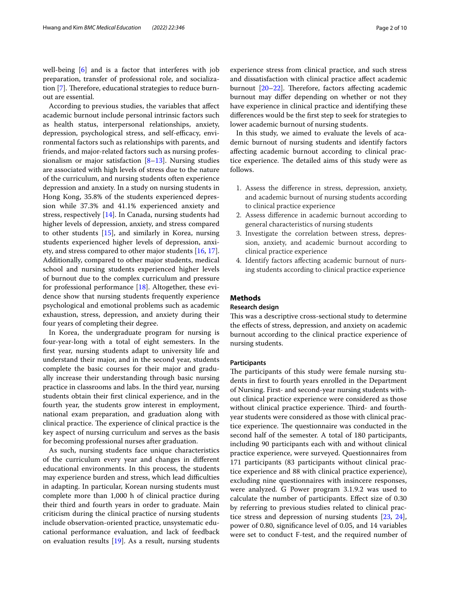well-being [\[6](#page-8-5)] and is a factor that interferes with job preparation, transfer of professional role, and socializa-tion [[7\]](#page-8-6). Therefore, educational strategies to reduce burnout are essential.

According to previous studies, the variables that afect academic burnout include personal intrinsic factors such as health status, interpersonal relationships, anxiety, depression, psychological stress, and self-efficacy, environmental factors such as relationships with parents, and friends, and major-related factors such as nursing professionalism or major satisfaction  $[8-13]$  $[8-13]$  $[8-13]$ . Nursing studies are associated with high levels of stress due to the nature of the curriculum, and nursing students often experience depression and anxiety. In a study on nursing students in Hong Kong, 35.8% of the students experienced depression while 37.3% and 41.1% experienced anxiety and stress, respectively [[14\]](#page-8-9). In Canada, nursing students had higher levels of depression, anxiety, and stress compared to other students [[15](#page-8-10)], and similarly in Korea, nursing students experienced higher levels of depression, anxiety, and stress compared to other major students [[16,](#page-8-11) [17](#page-8-12)]. Additionally, compared to other major students, medical school and nursing students experienced higher levels of burnout due to the complex curriculum and pressure for professional performance [\[18](#page-8-13)]. Altogether, these evidence show that nursing students frequently experience psychological and emotional problems such as academic exhaustion, stress, depression, and anxiety during their four years of completing their degree.

In Korea, the undergraduate program for nursing is four-year-long with a total of eight semesters. In the frst year, nursing students adapt to university life and understand their major, and in the second year, students complete the basic courses for their major and gradually increase their understanding through basic nursing practice in classrooms and labs. In the third year, nursing students obtain their frst clinical experience, and in the fourth year, the students grow interest in employment, national exam preparation, and graduation along with clinical practice. The experience of clinical practice is the key aspect of nursing curriculum and serves as the basis for becoming professional nurses after graduation.

As such, nursing students face unique characteristics of the curriculum every year and changes in diferent educational environments. In this process, the students may experience burden and stress, which lead difficulties in adapting. In particular, Korean nursing students must complete more than 1,000 h of clinical practice during their third and fourth years in order to graduate. Main criticism during the clinical practice of nursing students include observation-oriented practice, unsystematic educational performance evaluation, and lack of feedback on evaluation results [[19\]](#page-8-14). As a result, nursing students experience stress from clinical practice, and such stress and dissatisfaction with clinical practice afect academic burnout  $[20-22]$  $[20-22]$ . Therefore, factors affecting academic burnout may difer depending on whether or not they have experience in clinical practice and identifying these diferences would be the frst step to seek for strategies to lower academic burnout of nursing students.

In this study, we aimed to evaluate the levels of academic burnout of nursing students and identify factors afecting academic burnout according to clinical practice experience. The detailed aims of this study were as follows.

- 1. Assess the diference in stress, depression, anxiety, and academic burnout of nursing students according to clinical practice experience
- 2. Assess diference in academic burnout according to general characteristics of nursing students
- 3. Investigate the correlation between stress, depression, anxiety, and academic burnout according to clinical practice experience
- 4. Identify factors afecting academic burnout of nursing students according to clinical practice experience

## **Methods**

## **Research design**

This was a descriptive cross-sectional study to determine the effects of stress, depression, and anxiety on academic burnout according to the clinical practice experience of nursing students.

## **Participants**

The participants of this study were female nursing students in frst to fourth years enrolled in the Department of Nursing. First- and second-year nursing students without clinical practice experience were considered as those without clinical practice experience. Third- and fourthyear students were considered as those with clinical practice experience. The questionnaire was conducted in the second half of the semester. A total of 180 participants, including 90 participants each with and without clinical practice experience, were surveyed. Questionnaires from 171 participants (83 participants without clinical practice experience and 88 with clinical practice experience), excluding nine questionnaires with insincere responses, were analyzed. G Power program 3.1.9.2 was used to calculate the number of participants. Efect size of 0.30 by referring to previous studies related to clinical practice stress and depression of nursing students [\[23](#page-8-17), [24](#page-8-18)], power of 0.80, signifcance level of 0.05, and 14 variables were set to conduct F-test, and the required number of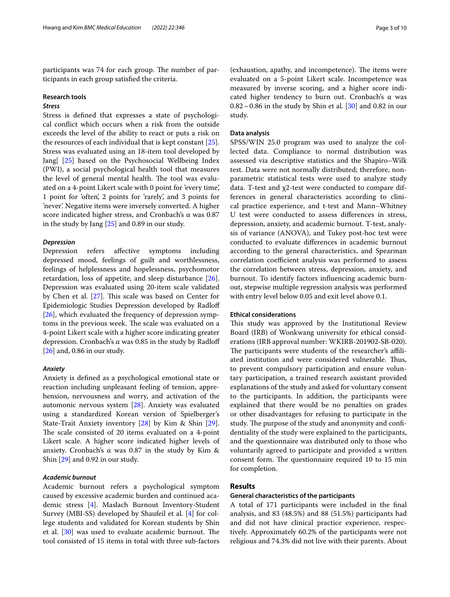participants was 74 for each group. The number of participants in each group satisfed the criteria.

## **Research tools**

# *Stress*

Stress is defned that expresses a state of psychological confict which occurs when a risk from the outside exceeds the level of the ability to react or puts a risk on the resources of each individual that is kept constant [\[25](#page-8-19)]. Stress was evaluated using an 18-item tool developed by Jang[ [\[25](#page-8-19)] based on the Psychosocial Wellbeing Index (PWI), a social psychological health tool that measures the level of general mental health. The tool was evaluated on a 4-point Likert scale with 0 point for 'every time', 1 point for 'often', 2 points for 'rarely', and 3 points for 'never'. Negative items were inversely converted. A higher score indicated higher stress, and Cronbach's α was 0.87 in the study by Jang [[25\]](#page-8-19) and 0.89 in our study.

## *Depression*

Depression refers afective symptoms including depressed mood, feelings of guilt and worthlessness, feelings of helplessness and hopelessness, psychomotor retardation, loss of appetite, and sleep disturbance [\[26](#page-8-20)]. Depression was evaluated using 20-item scale validated by Chen et al.  $[27]$  $[27]$ . This scale was based on Center for Epidemiologic Studies Depression developed by Radlof [[26\]](#page-8-20), which evaluated the frequency of depression symptoms in the previous week. The scale was evaluated on a 4-point Likert scale with a higher score indicating greater depression. Cronbach's α was 0.85 in the study by Radloff [[26\]](#page-8-20) and, 0.86 in our study.

## *Anxiety*

Anxiety is defned as a psychological emotional state or reaction including unpleasant feeling of tension, apprehension, nervousness and worry, and activation of the automonic nervous system [[28\]](#page-8-22). Anxiety was evaluated using a standardized Korean version of Spielberger's State-Trait Anxiety inventory [[28](#page-8-22)] by Kim & Shin [\[29](#page-8-23)]. The scale consisted of 20 items evaluated on a 4-point Likert scale. A higher score indicated higher levels of anxiety. Cronbach's α was 0.87 in the study by Kim & Shin [[29\]](#page-8-23) and 0.92 in our study.

# *Academic burnout*

Academic burnout refers a psychological symptom caused by excessive academic burden and continued academic stress [\[4](#page-8-3)]. Maslach Burnout Inventory-Student Survey (MBI-SS) developed by Shaufeil et al. [[4\]](#page-8-3) for college students and validated for Korean students by Shin et al.  $[30]$  $[30]$  $[30]$  was used to evaluate academic burnout. The tool consisted of 15 items in total with three sub-factors

(exhaustion, apathy, and incompetence). The items were evaluated on a 5-point Likert scale. Incompetence was measured by inverse scoring, and a higher score indicated higher tendency to burn out. Cronbach's α was  $0.82\!\sim\!0.86$  in the study by Shin et al. [\[30](#page-8-24)] and 0.82 in our study.

## **Data analysis**

SPSS/WIN 25.0 program was used to analyze the collected data. Compliance to normal distribution was assessed via descriptive statistics and the Shapiro–Wilk test. Data were not normally distributed; therefore, nonparametric statistical tests were used to analyze study data. T-test and χ2-test were conducted to compare differences in general characteristics according to clinical practice experience, and t-test and Mann–Whitney U test were conducted to assess diferences in stress, depression, anxiety, and academic burnout. T-test, analysis of variance (ANOVA), and Tukey post-hoc test were conducted to evaluate diferences in academic burnout according to the general characteristics, and Spearman correlation coefficient analysis was performed to assess the correlation between stress, depression, anxiety, and burnout. To identify factors infuencing academic burnout, stepwise multiple regression analysis was performed with entry level below 0.05 and exit level above 0.1.

#### **Ethical considerations**

This study was approved by the Institutional Review Board (IRB) of Wonkwang university for ethical considerations (IRB approval number: WKIRB-201902-SB-020). The participants were students of the researcher's affiliated institution and were considered vulnerable. Thus, to prevent compulsory participation and ensure voluntary participation, a trained research assistant provided explanations of the study and asked for voluntary consent to the participants. In addition, the participants were explained that there would be no penalties on grades or other disadvantages for refusing to participate in the study. The purpose of the study and anonymity and confidentiality of the study were explained to the participants, and the questionnaire was distributed only to those who voluntarily agreed to participate and provided a written consent form. The questionnaire required 10 to 15 min for completion.

# **Results**

## **General characteristics of the participants**

A total of 171 participants were included in the fnal analysis, and 83 (48.5%) and 88 (51.5%) participants had and did not have clinical practice experience, respectively. Approximately 60.2% of the participants were not religious and 74.3% did not live with their parents. About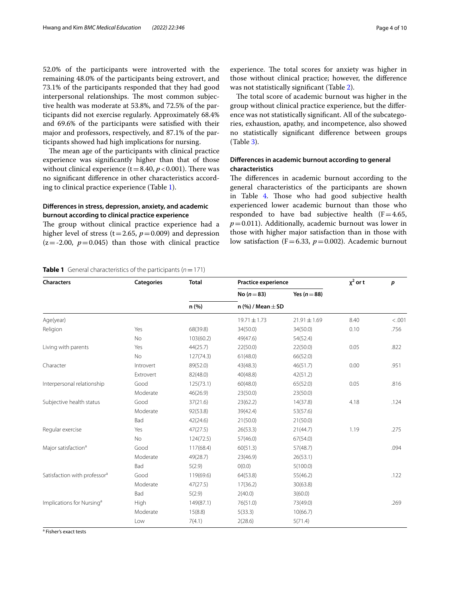52.0% of the participants were introverted with the remaining 48.0% of the participants being extrovert, and 73.1% of the participants responded that they had good interpersonal relationships. The most common subjective health was moderate at 53.8%, and 72.5% of the participants did not exercise regularly. Approximately 68.4% and 69.6% of the participants were satisfed with their major and professors, respectively, and 87.1% of the participants showed had high implications for nursing.

The mean age of the participants with clinical practice experience was signifcantly higher than that of those without clinical experience ( $t=8.40$ ,  $p < 0.001$ ). There was no signifcant diference in other characteristics according to clinical practice experience (Table [1](#page-3-0)).

# **Diferences in stress, depression, anxiety, and academic burnout according to clinical practice experience**

The group without clinical practice experience had a higher level of stress ( $t=2.65$ ,  $p=0.009$ ) and depression  $(z=-2.00, p=0.045)$  than those with clinical practice

experience. The total scores for anxiety was higher in those without clinical practice; however, the diference was not statistically signifcant (Table [2](#page-4-0)).

The total score of academic burnout was higher in the group without clinical practice experience, but the diference was not statistically signifcant. All of the subcategories, exhaustion, apathy, and incompetence, also showed no statistically signifcant diference between groups (Table [3\)](#page-4-1).

# **Diferences in academic burnout according to general characteristics**

The differences in academic burnout according to the general characteristics of the participants are shown in Table [4](#page-5-0). Those who had good subjective health experienced lower academic burnout than those who responded to have bad subjective health  $(F=4.65,$  $p=0.011$ ). Additionally, academic burnout was lower in those with higher major satisfaction than in those with low satisfaction (F=6.33,  $p=0.002$ ). Academic burnout

# <span id="page-3-0"></span>**Table 1** General characteristics of the participants ( $n = 171$ )

| <b>Characters</b>                        | <b>Categories</b> | <b>Total</b> | <b>Practice experience</b> | $\chi^2$ or t    | p    |        |  |
|------------------------------------------|-------------------|--------------|----------------------------|------------------|------|--------|--|
|                                          |                   |              | No $(n=83)$                | Yes $(n=88)$     |      |        |  |
|                                          |                   | n (%)        | n (%) / Mean $\pm$ SD      |                  |      |        |  |
| Age(year)                                |                   |              | $19.71 \pm 1.73$           | $21.91 \pm 1.69$ | 8.40 | < .001 |  |
| Religion                                 | Yes               | 68(39.8)     | 34(50.0)                   | 34(50.0)         | 0.10 | .756   |  |
|                                          | No                | 103(60.2)    | 49(47.6)                   | 54(52.4)         |      |        |  |
| Living with parents                      | Yes               | 44(25.7)     | 22(50.0)                   | 22(50.0)         | 0.05 | .822   |  |
|                                          | <b>No</b>         | 127(74.3)    | 61(48.0)                   | 66(52.0)         |      |        |  |
| Character                                | Introvert         | 89(52.0)     | 43(48.3)                   | 46(51.7)         | 0.00 | .951   |  |
|                                          | Extrovert         | 82(48.0)     | 40(48.8)                   | 42(51.2)         |      |        |  |
| Interpersonal relationship               | Good              | 125(73.1)    | 60(48.0)                   | 65(52.0)         | 0.05 | .816   |  |
|                                          | Moderate          | 46(26.9)     | 23(50.0)                   | 23(50.0)         |      |        |  |
| Subjective health status                 | Good              | 37(21.6)     | 23(62.2)                   | 14(37.8)         | 4.18 | .124   |  |
|                                          | Moderate          | 92(53.8)     | 39(42.4)                   | 53(57.6)         |      |        |  |
|                                          | Bad               | 42(24.6)     | 21(50.0)                   | 21(50.0)         |      |        |  |
| Regular exercise                         | Yes               | 47(27.5)     | 26(53.3)                   | 21(44.7)         | 1.19 | .275   |  |
|                                          | No                | 124(72.5)    | 57(46.0)                   | 67(54.0)         |      |        |  |
| Major satisfaction <sup>a</sup>          | Good              | 117(68.4)    | 60(51.3)<br>57(48.7)       |                  |      | .094   |  |
|                                          | Moderate          | 49(28.7)     | 23(46.9)                   | 26(53.1)         |      |        |  |
|                                          | Bad               | 5(2.9)       | O(0.0)                     | 5(100.0)         |      |        |  |
| Satisfaction with professor <sup>a</sup> | Good              | 119(69.6)    | 64(53.8)                   | 55(46.2)         |      | .122   |  |
|                                          | Moderate          | 47(27.5)     | 17(36.2)                   | 30(63.8)         |      |        |  |
|                                          | Bad               | 5(2.9)       | 2(40.0)                    | 3(60.0)          |      |        |  |
| Implications for Nursing <sup>a</sup>    | High              | 149(87.1)    | 76(51.0)                   | 73(49.0)         |      | .269   |  |
|                                          | Moderate          | 15(8.8)      | 5(33.3)                    | 10(66.7)         |      |        |  |
|                                          | Low               | 7(4.1)       | 2(28.6)                    | 5(71.4)          |      |        |  |

<sup>a</sup> Fisher's exact tests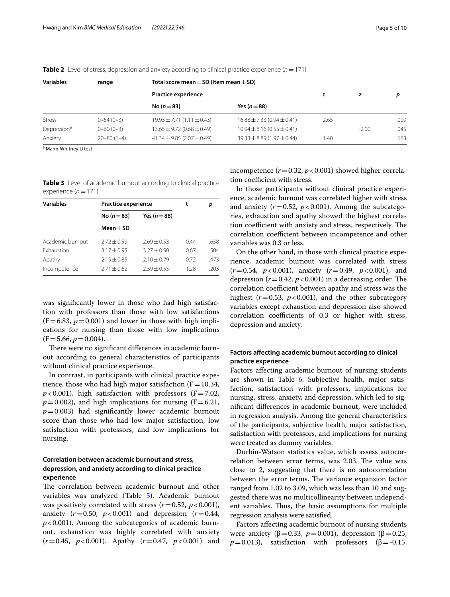| Variables               | range            | Total score mean $\pm$ SD (Item mean $\pm$ SD) |                                    |      |         |      |
|-------------------------|------------------|------------------------------------------------|------------------------------------|------|---------|------|
|                         |                  | Practice experience                            |                                    |      |         | D    |
|                         |                  | No ( $n = 83$ )                                | Yes $(n=88)$                       |      |         |      |
| <b>Stress</b>           | $0 - 54(0 - 3)$  | $19.93 \pm 7.71 (1.11 \pm 0.43)$               | $16.88 \pm 7.33$ (0.94 $\pm$ 0.41) | 2.65 |         | .009 |
| Depression <sup>a</sup> | $0 - 60(0 - 3)$  | $13.65 \pm 9.72 (0.68 \pm 0.49)$               | $10.94 \pm 8.16(0.55 \pm 0.41)$    |      | $-2.00$ | .045 |
| Anxiety                 | $20 - 80(1 - 4)$ | $41.34 \pm 9.85$ (2.07 $\pm$ 0.49)             | $39.33 \pm 8.89$ (1.97 $\pm$ 0.44) | 1.40 |         | .163 |

<span id="page-4-0"></span>**Table 2** Level of stress, depression and anxiety according to clinical practice experience  $(n = 171)$ 

<sup>a</sup> Mann-Whitney U test

<span id="page-4-1"></span>

| <b>Table 3</b> Level of academic burnout according to clinical practice |
|-------------------------------------------------------------------------|
| experience $(n=171)$                                                    |

| <b>Variables</b>  | <b>Practice experience</b> | t                | p    |      |
|-------------------|----------------------------|------------------|------|------|
|                   | No $(n=83)$                | Yes ( $n = 88$ ) |      |      |
|                   | $Mean + SD$                |                  |      |      |
| Academic burnout  | $2.72 + 0.59$              | $2.69 + 0.53$    | 0.44 | .658 |
| <b>Exhaustion</b> | $3.17 + 0.95$              | $3.27 + 0.90$    | 0.67 | .504 |
| Apathy            | $2.19 + 0.85$              | $2.10 \pm 0.79$  | 0.72 | .473 |
| Incompetence      | $2.71 \pm 0.62$            | $7.59 + 0.55$    | 1.28 | .203 |

was signifcantly lower in those who had high satisfaction with professors than those with low satisfactions  $(F=6.83, p=0.001)$  and lower in those with high implications for nursing than those with low implications  $(F=5.66, p=0.004)$ .

There were no significant differences in academic burnout according to general characteristics of participants without clinical practice experience.

In contrast, in participants with clinical practice experience, those who had high major satisfaction ( $F=10.34$ ,  $p$ <0.001), high satisfaction with professors (F=7.02,  $p=0.002$ ), and high implications for nursing (F=6.21,  $p=0.003$ ) had significantly lower academic burnout score than those who had low major satisfaction, low satisfaction with professors, and low implications for nursing.

# **Correlation between academic burnout and stress, depression, and anxiety according to clinical practice experience**

The correlation between academic burnout and other variables was analyzed (Table [5\)](#page-5-1). Academic burnout was positively correlated with stress  $(r=0.52, p<0.001)$ , anxiety  $(r = 0.50, p < 0.001)$  and depression  $(r = 0.44,$  $p$ <0.001). Among the subcategories of academic burnout, exhaustion was highly correlated with anxiety (*r*=0.45, *p*<0.001). Apathy (*r*=0.47, *p*<0.001) and incompetence  $(r=0.32, p<0.001)$  showed higher correlation coefficient with stress.

In those participants without clinical practice experience, academic burnout was correlated higher with stress and anxiety  $(r=0.52, p<0.001)$ . Among the subcategories, exhaustion and apathy showed the highest correlation coefficient with anxiety and stress, respectively. The correlation coefficient between incompetence and other variables was 0.3 or less.

On the other hand, in those with clinical practice experience, academic burnout was correlated with stress (*r*=0.54, *p*<0.001), anxiety (*r*=0.49, *p*<0.001), and depression  $(r=0.42, p<0.001)$  in a decreasing order. The correlation coefficient between apathy and stress was the highest  $(r=0.53, p<0.001)$ , and the other subcategory variables except exhaustion and depression also showed correlation coefficients of 0.3 or higher with stress, depression and anxiety.

# **Factors afecting academic burnout according to clinical practice experience**

Factors afecting academic burnout of nursing students are shown in Table [6](#page-6-0). Subjective health, major satisfaction, satisfaction with professors, implications for nursing, stress, anxiety, and depression, which led to signifcant diferences in academic burnout, were included in regression analysis. Among the general characteristics of the participants, subjective health, major satisfaction, satisfaction with professors, and implications for nursing were treated as dummy variables.

Durbin-Watson statistics value, which assess autocorrelation between error terms, was 2.03. The value was close to 2, suggesting that there is no autocorrelation between the error terms. The variance expansion factor ranged from 1.02 to 3.09, which was less than 10 and suggested there was no multicollinearity between independent variables. Thus, the basic assumptions for multiple regression analysis were satisfed.

Factors afecting academic burnout of nursing students were anxiety (β=0.33,  $p=0.001$ ), depression (β=0.25,  $p=0.013$ ), satisfaction with professors ( $\beta = -0.15$ ,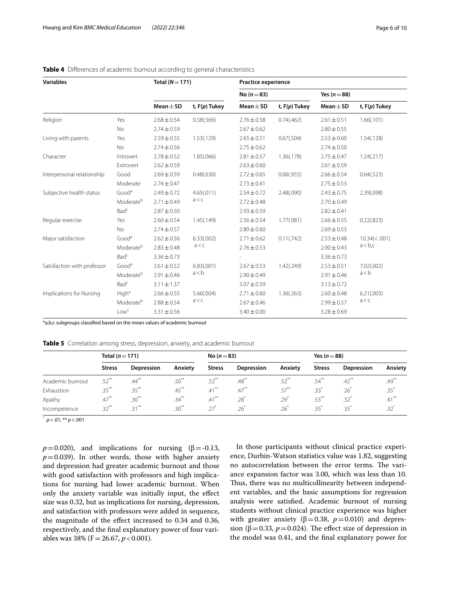| <b>Variables</b>            |                       | Total $(N=171)$ |                 | <b>Practice experience</b> |                 |                 |                      |  |  |
|-----------------------------|-----------------------|-----------------|-----------------|----------------------------|-----------------|-----------------|----------------------|--|--|
|                             |                       |                 |                 | No $(n=83)$                |                 | Yes $(n=88)$    |                      |  |  |
|                             |                       | Mean $\pm$ SD   | t, $F(p)$ Tukey | Mean $\pm$ SD              | t, $F(p)$ Tukey | $Mean \pm SD$   | t, $F(p)$ Tukey      |  |  |
| Religion                    | Yes                   | $2.68 \pm 0.54$ | 0.58(.566)      | $2.76 \pm 0.58$            | 0.74(.462)      | $2.61 \pm 0.51$ | 1.66(.101)           |  |  |
|                             | No                    | $2.74 \pm 0.59$ |                 | $2.67 \pm 0.62$            |                 | $2.80 \pm 0.55$ |                      |  |  |
| Living with parents         | Yes                   | $2.59 \pm 0.55$ | 1.53(.129)      | $2.65 \pm 0.51$            | 0.67(.504)      | $2.53 \pm 0.60$ | 1.54(.128)           |  |  |
|                             | No                    | $2.74 \pm 0.56$ |                 | $2.75 \pm 0.62$            |                 | $2.74 \pm 0.50$ |                      |  |  |
| Character                   | Introvert             | $2.78 \pm 0.52$ | 1.85(.066)      | $2.81 \pm 0.57$            | 1.36(.178)      | $2.75 \pm 0.47$ | 1.24(.217)           |  |  |
|                             | Extrovert             | $2.62 \pm 0.59$ |                 | $2.63 \pm 0.60$            |                 | $2.61 \pm 0.59$ |                      |  |  |
| Interpersonal relationship  | Good                  | $2.69 \pm 0.59$ | 0.48(.630)      | $2.72 \pm 0.65$            | 0.06(.955)      | $2.66 \pm 0.54$ | 0.64(.523)           |  |  |
|                             | Moderate              | $2.74 \pm 0.47$ |                 | $2.73 \pm 0.41$            |                 | $2.75 \pm 0.53$ |                      |  |  |
| Subjective health status    | Good <sup>a</sup>     | $2.49 \pm 0.72$ | 4.65(.011)      | $2.54 \pm 0.72$            | 2.48(.090)      | $2.43 \pm 0.75$ | 2.39(.098)           |  |  |
|                             | Moderateb             | $2.71 \pm 0.49$ | a < c           | $2.72 \pm 0.48$            |                 | $2.70 \pm 0.49$ |                      |  |  |
|                             | Bad <sup>c</sup>      | $2.87 \pm 0.50$ |                 | $2.93 \pm 0.59$            |                 | $2.82 \pm 0.41$ |                      |  |  |
| Regular exercise            | Yes                   | $2.60 \pm 0.54$ | 1.45(.149)      | $2.56 \pm 0.54$            | 1.77(.081)      | $2.66 \pm 0.55$ | 0.22(.823)           |  |  |
|                             | No                    | $2.74 \pm 0.57$ |                 | $2.80 \pm 0.60$            |                 | $2.69 \pm 0.53$ |                      |  |  |
| Major satisfaction          | Good <sup>a</sup>     | $2.62 \pm 0.56$ | 6.33(.002)      | $2.71 \pm 0.62$            | 0.11(.742)      | $2.53 \pm 0.48$ | $10.34 \times 0.001$ |  |  |
|                             | Moderateb             | $2.83 \pm 0.48$ | a < c           | $2.76 \pm 0.53$            |                 | $2.90 \pm 0.43$ | a < b, c             |  |  |
|                             | Bad <sup>c</sup>      | $3.36 \pm 0.73$ |                 |                            |                 | $3.36 \pm 0.73$ |                      |  |  |
| Satisfaction with professor | Good <sup>a</sup>     | $2.61 \pm 0.52$ | 6.83(.001)      | $2.67 \pm 0.53$            | 1.42(.249)      | $2.53 \pm 0.51$ | 7.02(.002)           |  |  |
|                             | Moderateb             | $2.91 \pm 0.46$ | a < b           | $2.90 \pm 0.49$            |                 | $2.91 \pm 0.46$ | a < b                |  |  |
|                             | Bad <sup>c</sup>      | $3.11 \pm 1.37$ |                 | $3.07 \pm 0.59$            |                 | $3.13 \pm 0.72$ |                      |  |  |
| Implications for Nursing    | High <sup>a</sup>     | $2.66 \pm 0.55$ | 5.66(.004)      | $2.71 \pm 0.60$            | 1.36(.263)      | $2.60 \pm 0.48$ | 6.21(.003)           |  |  |
|                             | Moderate <sup>b</sup> | $2.88 \pm 0.54$ | a < c           | $2.67 \pm 0.46$            |                 | $2.99 \pm 0.57$ | a < c                |  |  |
|                             | Lowc                  | $3.31 \pm 0.56$ |                 | $3.40 \pm 0.00$            |                 | $3.28 \pm 0.69$ |                      |  |  |

# <span id="page-5-0"></span>**Table 4** Diferences of academic burnout according to general characteristics

\*a,b,c subgroups classifed based on the mean values of academic burnout

<span id="page-5-1"></span>**Table 5** Correlation among stress, depression, anxiety, and academic burnout

|                  | Total ( $n = 171$ ) |            |          | No ( $n = 83$ ) |            |          | Yes $(n=88)$  |                     |          |  |  |
|------------------|---------------------|------------|----------|-----------------|------------|----------|---------------|---------------------|----------|--|--|
|                  | <b>Stress</b>       | Depression | Anxiety  | <b>Stress</b>   | Depression | Anxiety  | <b>Stress</b> | Depression          | Anxiety  |  |  |
| Academic burnout | $.52$ <sup>**</sup> | $.44^{**}$ | $.50***$ | $.52***$        | $.48***$   | $.52***$ | .54`          | $.42$ <sup>**</sup> | $.49***$ |  |  |
| Exhaustion       | $.35***$            | $.35***$   | $.45***$ | $.41***$        | $.47***$   | $.57***$ | $.33*$        | .26 <sup>2</sup>    | $.35^*$  |  |  |
| Apathy           | $.47***$            | $.30***$   | $.34***$ | $.41***$        | $.28*$     | .29'     | $.53***$      | $.32^*$             | $.41***$ |  |  |
| Incompetence     | $.32***$            | $.31***$   | $.30***$ | 27              | 26         | .26      | .35           | .35                 | $.32^*$  |  |  |

\* *p*<.01, \*\* *p*<.001

 $p=0.020$ ), and implications for nursing ( $\beta = -0.13$ ,  $p=0.039$ ). In other words, those with higher anxiety and depression had greater academic burnout and those with good satisfaction with professors and high implications for nursing had lower academic burnout. When only the anxiety variable was initially input, the efect size was 0.32, but as implications for nursing, depression, and satisfaction with professors were added in sequence, the magnitude of the efect increased to 0.34 and 0.36, respectively, and the fnal explanatory power of four variables was 38% (F=26.67, *p*<0.001).

In those participants without clinical practice experience, Durbin-Watson statistics value was 1.82, suggesting no autocorrelation between the error terms. The variance expansion factor was 3.00, which was less than 10. Thus, there was no multicollinearity between independent variables, and the basic assumptions for regression analysis were satisfed. Academic burnout of nursing students without clinical practice experience was higher with greater anxiety ( $β=0.38$ ,  $p=0.010$ ) and depression ( $\beta$ =0.33,  $p$  = 0.024). The effect size of depression in the model was 0.41, and the fnal explanatory power for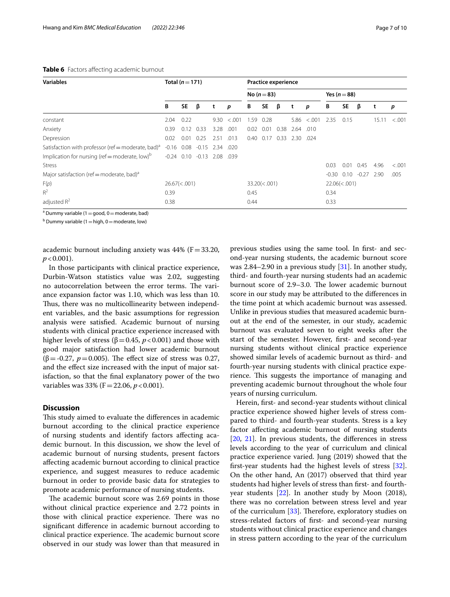| <b>Variables</b>                                               | Total $(n=171)$<br><b>Practice experience</b> |           |                        |                      |        |             |           |                      |      |              |         |           |         |       |        |
|----------------------------------------------------------------|-----------------------------------------------|-----------|------------------------|----------------------|--------|-------------|-----------|----------------------|------|--------------|---------|-----------|---------|-------|--------|
|                                                                |                                               |           |                        |                      |        | No $(n=83)$ |           |                      |      | Yes $(n=88)$ |         |           |         |       |        |
|                                                                | В                                             | <b>SE</b> | β                      | t                    | p      | В           | <b>SE</b> | β                    | t    | p            | В       | <b>SE</b> | β       | t     | p      |
| constant                                                       | 2.04                                          | 0.22      |                        | 9.30                 | < .001 | 1.59        | 0.28      |                      | 5.86 | < .001       | 2.35    | 0.15      |         | 15.11 | < .001 |
| Anxiety                                                        | 0.39                                          | 0.12      | 0.33                   | 3.28                 | .001   | 0.02        | 0.01      | 0.38                 | 2.64 | .010         |         |           |         |       |        |
| Depression                                                     | 0.02                                          | 0.01      | 0.25                   | 2.51                 | .013   | 0.40        | 0.17      | 0.33                 | 2.30 | .024         |         |           |         |       |        |
| Satisfaction with professor (ref = moderate, bad) <sup>a</sup> | $-0.16$                                       | 0.08      | $-0.15$                | 2.34 .020            |        |             |           |                      |      |              |         |           |         |       |        |
| Implication for nursing (ref = moderate, low) <sup>b</sup>     |                                               |           | $-0.24$ $0.10$ $-0.13$ | 2.08                 | .039   |             |           |                      |      |              |         |           |         |       |        |
| <b>Stress</b>                                                  |                                               |           |                        |                      |        |             |           |                      |      |              | 0.03    | 0.01      | 0.45    | 4.96  | < .001 |
| Major satisfaction (ref = moderate, bad) <sup>a</sup>          |                                               |           |                        |                      |        |             |           |                      |      |              | $-0.30$ | 0.10      | $-0.27$ | 2.90  | .005   |
| F(p)                                                           | $26.67 \times 0.001$                          |           |                        | $33.20 \times 0.001$ |        |             |           | $22.06 \times 0.001$ |      |              |         |           |         |       |        |
| $R^2$                                                          | 0.39                                          |           |                        |                      |        | 0.45        |           |                      |      |              | 0.34    |           |         |       |        |
| adjusted $R^2$                                                 | 0.38                                          |           |                        |                      | 0.44   |             |           |                      | 0.33 |              |         |           |         |       |        |

# <span id="page-6-0"></span>**Table 6** Factors affecting academic burnout

<sup>a</sup> Dummy variable (1 = good, 0 = moderate, bad)

 $b$  Dummy variable (1  $=$  high, 0  $=$  moderate, low)

academic burnout including anxiety was  $44%$  (F=33.20,  $p < 0.001$ ).

In those participants with clinical practice experience, Durbin-Watson statistics value was 2.02, suggesting no autocorrelation between the error terms. The variance expansion factor was 1.10, which was less than 10. Thus, there was no multicollinearity between independent variables, and the basic assumptions for regression analysis were satisfed. Academic burnout of nursing students with clinical practice experience increased with higher levels of stress ( $β = 0.45$ ,  $p < 0.001$ ) and those with good major satisfaction had lower academic burnout ( $\beta$  = -0.27, *p* = 0.005). The effect size of stress was 0.27, and the efect size increased with the input of major satisfaction, so that the fnal explanatory power of the two variables was 33% (F = 22.06, *p* < 0.001).

# **Discussion**

This study aimed to evaluate the differences in academic burnout according to the clinical practice experience of nursing students and identify factors afecting academic burnout. In this discussion, we show the level of academic burnout of nursing students, present factors afecting academic burnout according to clinical practice experience, and suggest measures to reduce academic burnout in order to provide basic data for strategies to promote academic performance of nursing students.

The academic burnout score was 2.69 points in those without clinical practice experience and 2.72 points in those with clinical practice experience. There was no signifcant diference in academic burnout according to clinical practice experience. The academic burnout score observed in our study was lower than that measured in previous studies using the same tool. In frst- and second-year nursing students, the academic burnout score was 2.84–2.90 in a previous study [\[31](#page-8-25)]. In another study, third- and fourth-year nursing students had an academic burnout score of 2.9–3.0. The lower academic burnout score in our study may be attributed to the diferences in the time point at which academic burnout was assessed. Unlike in previous studies that measured academic burnout at the end of the semester, in our study, academic burnout was evaluated seven to eight weeks after the start of the semester. However, frst- and second-year nursing students without clinical practice experience showed similar levels of academic burnout as third- and fourth-year nursing students with clinical practice experience. This suggests the importance of managing and preventing academic burnout throughout the whole four years of nursing curriculum.

Herein, frst- and second-year students without clinical practice experience showed higher levels of stress compared to third- and fourth-year students. Stress is a key factor afecting academic burnout of nursing students [[20,](#page-8-15) [21](#page-8-26)]. In previous students, the diferences in stress levels according to the year of curriculum and clinical practice experience varied. Jung (2019) showed that the frst-year students had the highest levels of stress [\[32](#page-9-0)]. On the other hand, An (2017) observed that third year students had higher levels of stress than frst- and fourthyear students [\[22](#page-8-16)]. In another study by Moon (2018), there was no correlation between stress level and year of the curriculum  $[33]$  $[33]$ . Therefore, exploratory studies on stress-related factors of frst- and second-year nursing students without clinical practice experience and changes in stress pattern according to the year of the curriculum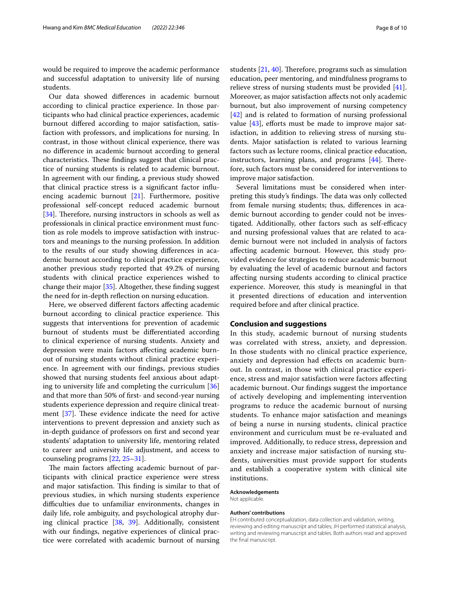would be required to improve the academic performance and successful adaptation to university life of nursing students.

Our data showed diferences in academic burnout according to clinical practice experience. In those participants who had clinical practice experiences, academic burnout difered according to major satisfaction, satisfaction with professors, and implications for nursing. In contrast, in those without clinical experience, there was no diference in academic burnout according to general characteristics. These findings suggest that clinical practice of nursing students is related to academic burnout. In agreement with our fnding, a previous study showed that clinical practice stress is a signifcant factor infuencing academic burnout [[21\]](#page-8-26). Furthermore, positive professional self-concept reduced academic burnout [[34\]](#page-9-2). Therefore, nursing instructors in schools as well as professionals in clinical practice environment must function as role models to improve satisfaction with instructors and meanings to the nursing profession. In addition to the results of our study showing diferences in academic burnout according to clinical practice experience, another previous study reported that 49.2% of nursing students with clinical practice experiences wished to change their major [[35](#page-9-3)]. Altogether, these fnding suggest the need for in-depth refection on nursing education.

Here, we observed diferent factors afecting academic burnout according to clinical practice experience. This suggests that interventions for prevention of academic burnout of students must be diferentiated according to clinical experience of nursing students. Anxiety and depression were main factors afecting academic burnout of nursing students without clinical practice experience. In agreement with our fndings, previous studies showed that nursing students feel anxious about adapting to university life and completing the curriculum [[36](#page-9-4)] and that more than 50% of frst- and second-year nursing students experience depression and require clinical treatment  $[37]$  $[37]$ . These evidence indicate the need for active interventions to prevent depression and anxiety such as in-depth guidance of professors on frst and second year students' adaptation to university life, mentoring related to career and university life adjustment, and access to counseling programs [[22](#page-8-16), [25–](#page-8-19)[31\]](#page-8-25).

The main factors affecting academic burnout of participants with clinical practice experience were stress and major satisfaction. This finding is similar to that of previous studies, in which nursing students experience difculties due to unfamiliar environments, changes in daily life, role ambiguity, and psychological atrophy during clinical practice [[38,](#page-9-6) [39\]](#page-9-7). Additionally, consistent with our fndings, negative experiences of clinical practice were correlated with academic burnout of nursing students  $[21, 40]$  $[21, 40]$  $[21, 40]$  $[21, 40]$ . Therefore, programs such as simulation education, peer mentoring, and mindfulness programs to relieve stress of nursing students must be provided [\[41](#page-9-9)]. Moreover, as major satisfaction afects not only academic burnout, but also improvement of nursing competency [[42\]](#page-9-10) and is related to formation of nursing professional value  $[43]$ , efforts must be made to improve major satisfaction, in addition to relieving stress of nursing students. Major satisfaction is related to various learning factors such as lecture rooms, clinical practice education, instructors, learning plans, and programs  $[44]$  $[44]$ . Therefore, such factors must be considered for interventions to improve major satisfaction.

Several limitations must be considered when interpreting this study's findings. The data was only collected from female nursing students; thus, diferences in academic burnout according to gender could not be investigated. Additionally, other factors such as self-efficacy and nursing professional values that are related to academic burnout were not included in analysis of factors afecting academic burnout. However, this study provided evidence for strategies to reduce academic burnout by evaluating the level of academic burnout and factors afecting nursing students according to clinical practice experience. Moreover, this study is meaningful in that it presented directions of education and intervention required before and after clinical practice.

# **Conclusion and suggestions**

In this study, academic burnout of nursing students was correlated with stress, anxiety, and depression. In those students with no clinical practice experience, anxiety and depression had efects on academic burnout. In contrast, in those with clinical practice experience, stress and major satisfaction were factors afecting academic burnout. Our fndings suggest the importance of actively developing and implementing intervention programs to reduce the academic burnout of nursing students. To enhance major satisfaction and meanings of being a nurse in nursing students, clinical practice environment and curriculum must be re-evaluated and improved. Additionally, to reduce stress, depression and anxiety and increase major satisfaction of nursing students, universities must provide support for students and establish a cooperative system with clinical site institutions.

### **Acknowledgements**

Not applicable.

#### **Authors' contributions**

EH contributed conceptualization, data collection and validation, writing, reviewing and editing manuscript and tables; JH performed statistical analysis, writing and reviewing manuscript and tables. Both authors read and approved the fnal manuscript.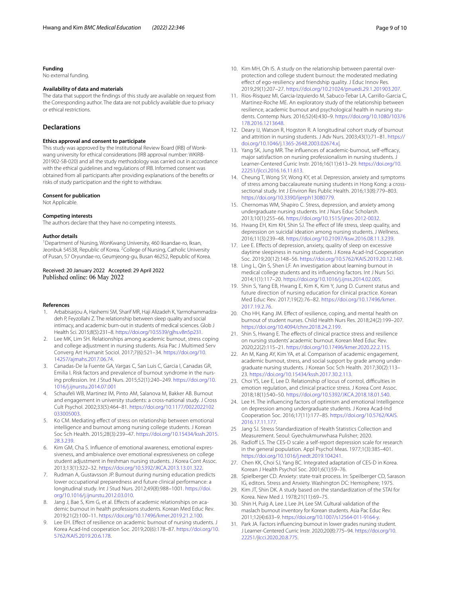#### **Funding**

No external funding.

## **Availability of data and materials**

The data that support the fndings of this study are available on request from the Corresponding author. The data are not publicly available due to privacy or ethical restrictions.

# **Declarations**

#### **Ethics approval and consent to participate**

This study was approved by the Institutional Review Board (IRB) of Wonkwang university for ethical considerations (IRB approval number: WKIRB-201902-SB-020) and all the study methodology was carried out in accordance with the ethical guidelines and regulations of IRB. Informed consent was obtained from all participants after providing explanations of the benefts or risks of study participation and the right to withdraw.

#### **Consent for publication**

Not Applicable.

#### **Competing interests**

The authors declare that they have no competing interests.

#### **Author details**

<sup>1</sup> Department of Nursing, WonKwang University, 460 Iksandae-ro, Iksan, Jeonbuk 54538, Republic of Korea. <sup>2</sup> College of Nursing, Catholic University of Pusan, 57 Oryundae-ro, Geumjeong-gu, Busan 46252, Republic of Korea.

### Received: 20 January 2022 Accepted: 29 April 2022 Published online: 06 May 2022

#### **References**

- <span id="page-8-0"></span>1. Arbabisarjou A, Hashemi SM, Sharif MR, Haji Alizadeh K, Yarmohammadzadeh P, Feyzollahi Z. The relationship between sleep quality and social intimacy, and academic burn-out in students of medical sciences. Glob J Health Sci. 2015;8(5):231–8. [https://doi.org/10.5539/gjhs.v8n5p231.](https://doi.org/10.5539/gjhs.v8n5p231)
- <span id="page-8-1"></span>2. Lee MK, Lim SH. Relationships among academic burnout, stress coping and college adjustment in nursing students. Asia Pac J Multimed Serv Converg Art Humanit Sociol. 2017;7(6):521–34. [https://doi.org/10.](https://doi.org/10.14257/ajmahs.2017.06.74) [14257/ajmahs.2017.06.74.](https://doi.org/10.14257/ajmahs.2017.06.74)
- <span id="page-8-2"></span>3. Canadas-De la Fuente GA, Vargas C, San Luis C, Garcia I, Canadas GR, Emilia I. Risk factors and prevalence of burnout syndrome in the nursing profession. Int J Stud Nurs. 2015;52(1):240–249. [https://doi.org/10.](https://doi.org/10.1016/j.ijnurstu.2014.07.001) [1016/j.ijnurstu.2014.07.001](https://doi.org/10.1016/j.ijnurstu.2014.07.001)
- <span id="page-8-3"></span>4. Schaufeli WB, Martinez IM, Pinto AM, Salanova M, Bakker AB. Burnout and engagement in university students: a cross-national study. J Cross Cult Psychol. 2002;33(5):464–81. [https://doi.org/10.1177/0022022102](https://doi.org/10.1177/0022022102033005003) [033005003.](https://doi.org/10.1177/0022022102033005003)
- <span id="page-8-4"></span>5. Ko CM. Mediating effect of stress on relationship between emotional intelligence and burnout among nursing college students. J Korean Soc Sch Health. 2015;28(3):239–47. [https://doi.org/10.15434/kssh.2015.](https://doi.org/10.15434/kssh.2015.28.3.239) [28.3.239](https://doi.org/10.15434/kssh.2015.28.3.239).
- <span id="page-8-5"></span>6. Kim GM, Cha S. Infuence of emotional awareness, emotional expressiveness, and ambivalence over emotional expressiveness on college student adjustment in freshman nursing students. J Korea Cont Assoc. 2013;13(1):322–32. [https://doi.org/10.5392/JKCA.2013.13.01.322.](https://doi.org/10.5392/JKCA.2013.13.01.322)
- <span id="page-8-6"></span>7. Rudman A, Gustavsson JP. Burnout during nursing education predicts lower occupational preparedness and future clinical performance: a longitudinal study. Int J Stud Nurs. 2012;49(8):988–1001. [https://doi.](https://doi.org/10.1016/j.ijnurstu.2012.03.010) [org/10.1016/j.ijnurstu.2012.03.010](https://doi.org/10.1016/j.ijnurstu.2012.03.010).
- <span id="page-8-7"></span>8. Jang J, Bae S, Kim G, et al. Efects of academic relationships on academic burnout in health professions students. Korean Med Educ Rev. 2019;21(2):100–11. [https://doi.org/10.17496/kmer.2019.21.2.100.](https://doi.org/10.17496/kmer.2019.21.2.100)
- 9. Lee EH. Effect of resilience on academic burnout of nursing students. J Korea Acad-Ind cooperation Soc. 2019;20(6):178–87. [https://doi.org/10.](https://doi.org/10.5762/KAIS.2019.20.6.178) [5762/KAIS.2019.20.6.178](https://doi.org/10.5762/KAIS.2019.20.6.178).
- 10. Kim MH, Oh IS. A study on the relationship between parental overprotection and college student burnout: the moderated mediating efect of ego-resiliency and friendship quality. J Educ Innov Res. 2019;29(1):207–27. [https://doi.org/10.21024/pnuedi.29.1.201903.207.](https://doi.org/10.21024/pnuedi.29.1.201903.207)
- 11. Rios-Risquez MI, Garcia-Izquierdo M, Sabuco-Tebar LA, Carrillo-Garcia C, Martinez-Roche ME. An exploratory study of the relationship between resilience, academic burnout and psychological health in nursing students. Contemp Nurs. 2016;52(4):430–9. [https://doi.org/10.1080/10376](https://doi.org/10.1080/10376178.2016.1213648) [178.2016.1213648](https://doi.org/10.1080/10376178.2016.1213648).
- 12. Deary IJ, Watson R, Hogston R. A longitudinal cohort study of burnout and attrition in nursing students. J Adv Nurs. 2003;43(1):71–81. [https://](https://doi.org/10.1046/j.1365-2648.2003.02674.x|) [doi.org/10.1046/j.1365-2648.2003.02674.x|.](https://doi.org/10.1046/j.1365-2648.2003.02674.x|)
- <span id="page-8-8"></span>13. Yang SK, Jung MR. The influences of academic-burnout, self-efficacy, major satisfaction on nursing professionalism in nursing students. J Learner-Centered Curric Instr. 2016;16(11):613–29. [https://doi.org/10.](https://doi.org/10.22251/jlcci.2016.16.11.613) [22251/jlcci.2016.16.11.613](https://doi.org/10.22251/jlcci.2016.16.11.613).
- <span id="page-8-9"></span>14. Cheung T, Wong SY, Wong KY, et al. Depression, anxiety and symptoms of stress among baccalaureate nursing students in Hong Kong: a crosssectional study. Int J Environ Res Public Health. 2016;13(8):779–803. <https://doi.org/10.3390/ijerph13080779>.
- <span id="page-8-10"></span>15. Chernomas WM, Shapiro C. Stress, depression, and anxiety among undergraduate nursing students. Int J Nurs Educ Scholarsh. 2013;10(1):255–66. <https://doi.org/10.1515/ijnes-2012-0032>.
- <span id="page-8-11"></span>16. Hwang EH, Kim KH, Shin SJ. The efect of life stress, sleep quality, and depression on suicidal ideation among nursing students. J Wellness. 2016;11(3):239–48. [https://doi.org/10.21097/ksw.2016.08.11.3.239.](https://doi.org/10.21097/ksw.2016.08.11.3.239)
- <span id="page-8-12"></span>17. Lee E. Efects of depression, anxiety, quality of sleep on excessive daytime sleepiness in nursing students. J Korea Acad-Ind Cooperation Soc. 2019;20(12):148–56. <https://doi.org/10.5762/KAIS.2019.20.12.148>.
- <span id="page-8-13"></span>18. Ling L, Qin S, Shen LF. An investigation about learning burnout in medical college students and its infuencing factors. Int J Nurs Sci. 2014;1(1):117–20. [https://doi.org/10.1016/j.ijnss.2014.02.005.](https://doi.org/10.1016/j.ijnss.2014.02.005)
- <span id="page-8-14"></span>19. Shin S, Yang EB, Hwang E, Kim K, Kim Y, Jung D. Current status and future direction of nursing education for clinical practice. Korean Med Educ Rev. 2017;19(2):76–82. [https://doi.org/10.17496/kmer.](https://doi.org/10.17496/kmer.2017.19.2.76) [2017.19.2.76](https://doi.org/10.17496/kmer.2017.19.2.76).
- <span id="page-8-15"></span>20. Cho HH, Kang JM. Efect of resilience, coping, and mental health on burnout of student nurses. Child Health Nurs Res. 2018;24(2):199–207. <https://doi.org/10.4094/chnr.2018.24.2.199>.
- <span id="page-8-26"></span>21. Shin S, Hwang E. The effects of clinical practice stress and resilience on nursing students' academic burnout. Korean Med Educ Rev. 2020;22(2):115–21. [https://doi.org/10.17496/kmer.2020.22.2.115.](https://doi.org/10.17496/kmer.2020.22.2.115)
- <span id="page-8-16"></span>22. An M, Kang AY, Kim YA, et al. Comparison of academic engagement, academic burnout, stress, and social support by grade among undergraduate nursing students. J Korean Soc Sch Health. 2017;30(2):113– 23.<https://doi.org/10.15434/kssh.2017.30.2.113>.
- <span id="page-8-17"></span>23. Choi YS, Lee E, Lee D. Relationship of locus of control, difficulties in emotion regulation, and clinical practice stress. J Korea Cont Assoc. 2018;18(1):540–50. [https://doi.org/10.5392/JKCA.2018.18.01.540.](https://doi.org/10.5392/JKCA.2018.18.01.540)
- <span id="page-8-18"></span>24. Lee H. The infuencing factors of optimism and emotional Intelligence on depression among undergraduate students. J Korea Acad-Ind Cooperation Soc. 2016;17(11):177–85. [https://doi.org/10.5762/KAIS.](https://doi.org/10.5762/KAIS.2016.17.11.177) [2016.17.11.177](https://doi.org/10.5762/KAIS.2016.17.11.177).
- <span id="page-8-19"></span>25 Jang SJ. Stress Standardization of Health Statistics Collection and Measurement. Seoul: Gyechukmunwhasa Pulisher; 2020.
- <span id="page-8-20"></span>26. Radloff LS. The CES-D scale: a self-report depression scale for research in the general population. Appl Psychol Meas. 1977;1(3):385–401. <https://doi.org/10.1016/j.nedt.2019.104241>.
- <span id="page-8-21"></span>27. Chen KK, Choi SJ, Yang BC. Integrated adaptation of CES-D in Korea. Korean J Health Psychol Soc. 2001;6(1):59–76.
- <span id="page-8-22"></span>28. Spielberger CD. Anxiety: state-trait process. In: Speilberger CD, Sarason IG, editors. Stress and Anxiety. Washington DC: Hemisphere; 1975.
- <span id="page-8-23"></span>29. Kim JT, Shin DK. A study based on the standardization of the STAI for Korea. New Med J. 1978;21(11):69–75.
- <span id="page-8-24"></span>30. Shin H, Puig A, Lee J, Lee JH, Lee SM. Cultural validation of the maslach burnout inventory for Korean students. Asia Pac Educ Rev. 2011;12(4):633–9. [https://doi.org/10.1007/s12564-011-9164-y.](https://doi.org/10.1007/s12564-011-9164-y)
- <span id="page-8-25"></span>31. Park JA. Factors influencing burnout in lower grades nursing student. J Learner-Centered Curric Instr. 2020;20(8):775–94. [https://doi.org/10.](https://doi.org/10.22251/jlcci.2020.20.8.775) [22251/jlcci.2020.20.8.775.](https://doi.org/10.22251/jlcci.2020.20.8.775)